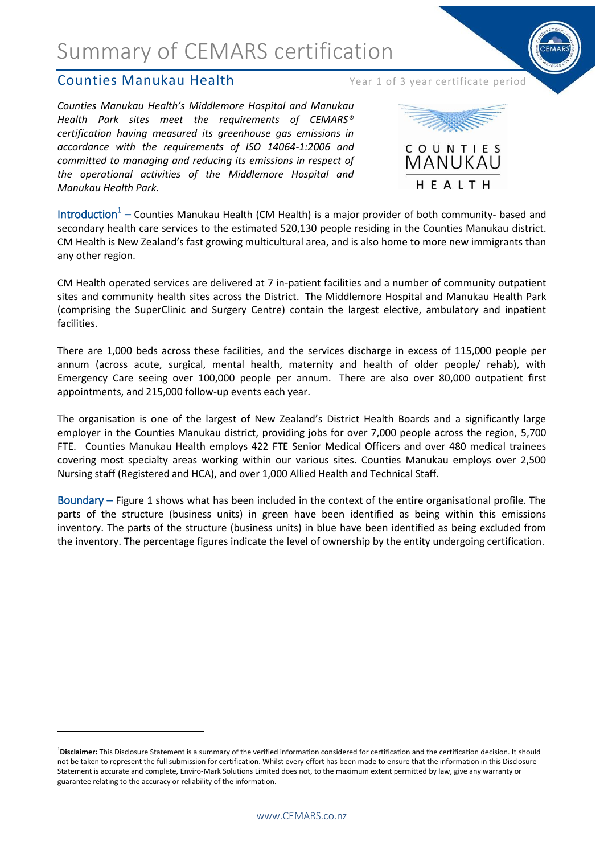### **Counties Manukau Health** Year 1 of 3 year certificate period

1

*Counties Manukau Health's Middlemore Hospital and Manukau Health Park sites meet the requirements of CEMARS® certification having measured its greenhouse gas emissions in accordance with the requirements of ISO 14064-1:2006 and committed to managing and reducing its emissions in respect of the operational activities of the Middlemore Hospital and Manukau Health Park.*



Introduction<sup>1</sup> – Counties Manukau Health (CM Health) is a major provider of both community- based and secondary health care services to the estimated 520,130 people residing in the Counties Manukau district. CM Health is New Zealand's fast growing multicultural area, and is also home to more new immigrants than any other region.

CM Health operated services are delivered at 7 in-patient facilities and a number of community outpatient sites and community health sites across the District. The Middlemore Hospital and Manukau Health Park (comprising the SuperClinic and Surgery Centre) contain the largest elective, ambulatory and inpatient facilities.

There are 1,000 beds across these facilities, and the services discharge in excess of 115,000 people per annum (across acute, surgical, mental health, maternity and health of older people/ rehab), with Emergency Care seeing over 100,000 people per annum. There are also over 80,000 outpatient first appointments, and 215,000 follow-up events each year.

The organisation is one of the largest of New Zealand's District Health Boards and a significantly large employer in the Counties Manukau district, providing jobs for over 7,000 people across the region, 5,700 FTE. Counties Manukau Health employs 422 FTE Senior Medical Officers and over 480 medical trainees covering most specialty areas working within our various sites. Counties Manukau employs over 2,500 Nursing staff (Registered and HCA), and over 1,000 Allied Health and Technical Staff.

Boundary – Figure 1 shows what has been included in the context of the entire organisational profile. The parts of the structure (business units) in green have been identified as being within this emissions inventory. The parts of the structure (business units) in blue have been identified as being excluded from the inventory. The percentage figures indicate the level of ownership by the entity undergoing certification.

<sup>&</sup>lt;sup>1</sup>Disclaimer: This Disclosure Statement is a summary of the verified information considered for certification and the certification decision. It should not be taken to represent the full submission for certification. Whilst every effort has been made to ensure that the information in this Disclosure Statement is accurate and complete, Enviro-Mark Solutions Limited does not, to the maximum extent permitted by law, give any warranty or guarantee relating to the accuracy or reliability of the information.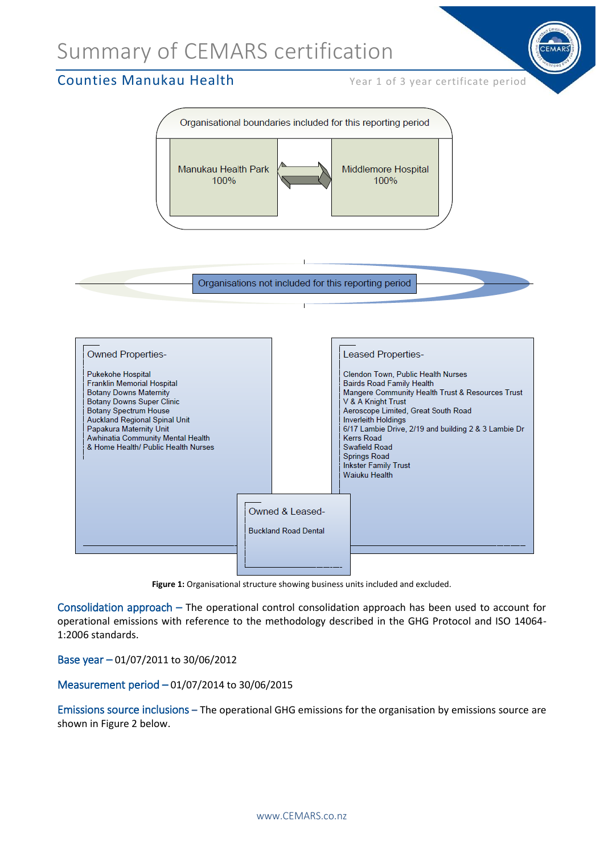### **Counties Manukau Health** Year 1 of 3 year certificate period



Organisations not included for this reporting period



**Figure 1:** Organisational structure showing business units included and excluded.

Consolidation approach – The operational control consolidation approach has been used to account for operational emissions with reference to the methodology described in the GHG Protocol and ISO 14064- 1:2006 standards.

Base year – 01/07/2011 to 30/06/2012

#### Measurement period – 01/07/2014 to 30/06/2015

Emissions source inclusions **–** The operational GHG emissions for the organisation by emissions source are shown in Figure 2 below.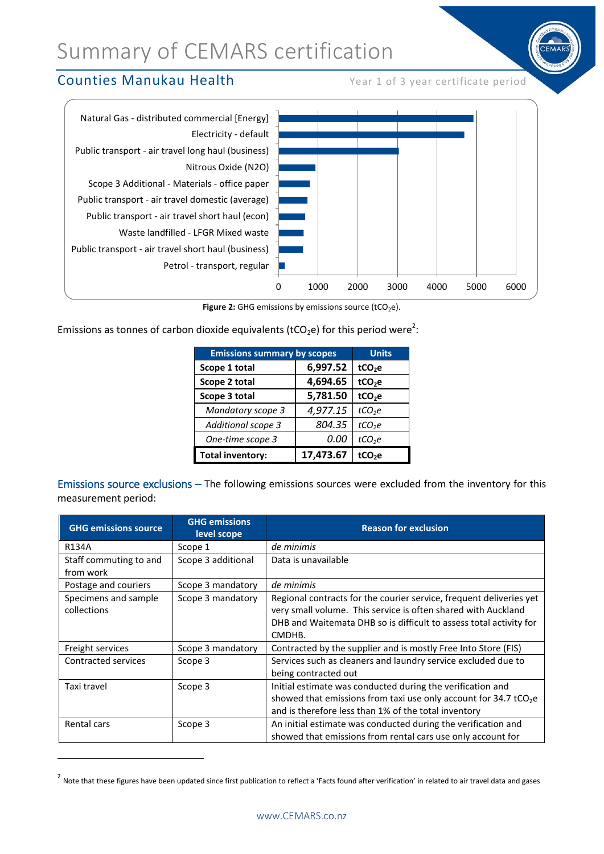### **Counties Manukau Health** Year 1 of 3 year certificate period

**.** 



**Figure 2:** GHG emissions by emissions source (tCO<sub>2</sub>e).

Emissions as tonnes of carbon dioxide equivalents (tCO<sub>2</sub>e) for this period were<sup>2</sup>:

| <b>Emissions summary by scopes</b> |           | <b>Units</b>       |
|------------------------------------|-----------|--------------------|
| Scope 1 total                      | 6,997.52  | tCO <sub>2</sub> e |
| Scope 2 total                      | 4,694.65  | tCO <sub>2</sub> e |
| Scope 3 total                      | 5,781.50  | tCO <sub>2</sub> e |
| <b>Mandatory scope 3</b>           | 4,977.15  | tCO <sub>2</sub> e |
| Additional scope 3                 | 804.35    | tCO <sub>2</sub> e |
| One-time scope 3                   | 0.00      | tCO <sub>2</sub> e |
| <b>Total inventory:</b>            | 17,473.67 | tCO <sub>2</sub> e |

Emissions source exclusions – The following emissions sources were excluded from the inventory for this measurement period:

| <b>GHG emissions source</b>         | <b>GHG emissions</b><br>level scope | <b>Reason for exclusion</b>                                                                                                                                                                                          |  |
|-------------------------------------|-------------------------------------|----------------------------------------------------------------------------------------------------------------------------------------------------------------------------------------------------------------------|--|
| R134A                               | Scope 1                             | de minimis                                                                                                                                                                                                           |  |
| Staff commuting to and              | Scope 3 additional                  | Data is unavailable                                                                                                                                                                                                  |  |
| from work                           |                                     |                                                                                                                                                                                                                      |  |
| Postage and couriers                | Scope 3 mandatory                   | de minimis                                                                                                                                                                                                           |  |
| Specimens and sample<br>collections | Scope 3 mandatory                   | Regional contracts for the courier service, frequent deliveries yet<br>very small volume. This service is often shared with Auckland<br>DHB and Waitemata DHB so is difficult to assess total activity for<br>CMDHB. |  |
| Freight services                    | Scope 3 mandatory                   | Contracted by the supplier and is mostly Free Into Store (FIS)                                                                                                                                                       |  |
| Contracted services                 | Scope 3                             | Services such as cleaners and laundry service excluded due to<br>being contracted out                                                                                                                                |  |
| Taxi travel                         | Scope 3                             | Initial estimate was conducted during the verification and<br>showed that emissions from taxi use only account for 34.7 tCO <sub>2</sub> e<br>and is therefore less than 1% of the total inventory                   |  |
| Rental cars                         | Scope 3                             | An initial estimate was conducted during the verification and<br>showed that emissions from rental cars use only account for                                                                                         |  |

<sup>&</sup>lt;sup>2</sup> Note that these figures have been updated since first publication to reflect a 'Facts found after verification' in related to air travel data and gases